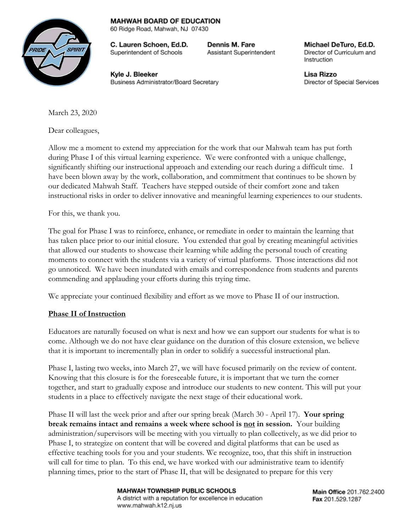## **MAHWAH BOARD OF EDUCATION** 60 Ridge Road, Mahwah, NJ 07430

**RIDE** 

C. Lauren Schoen, Ed.D. Superintendent of Schools

Dennis M. Fare Assistant Superintendent

Michael DeTuro, Ed.D. Director of Curriculum and Instruction

Kyle J. Bleeker Business Administrator/Board Secretary Lisa Rizzo Director of Special Services

March 23, 2020

Dear colleagues,

Allow me a moment to extend my appreciation for the work that our Mahwah team has put forth during Phase I of this virtual learning experience. We were confronted with a unique challenge, significantly shifting our instructional approach and extending our reach during a difficult time. I have been blown away by the work, collaboration, and commitment that continues to be shown by our dedicated Mahwah Staff. Teachers have stepped outside of their comfort zone and taken instructional risks in order to deliver innovative and meaningful learning experiences to our students.

For this, we thank you.

The goal for Phase I was to reinforce, enhance, or remediate in order to maintain the learning that has taken place prior to our initial closure. You extended that goal by creating meaningful activities that allowed our students to showcase their learning while adding the personal touch of creating moments to connect with the students via a variety of virtual platforms. Those interactions did not go unnoticed. We have been inundated with emails and correspondence from students and parents commending and applauding your efforts during this trying time.

We appreciate your continued flexibility and effort as we move to Phase II of our instruction.

## **Phase II of Instruction**

Educators are naturally focused on what is next and how we can support our students for what is to come. Although we do not have clear guidance on the duration of this closure extension, we believe that it is important to incrementally plan in order to solidify a successful instructional plan.

Phase I, lasting two weeks, into March 27, we will have focused primarily on the review of content. Knowing that this closure is for the foreseeable future, it is important that we turn the corner together, and start to gradually expose and introduce our students to new content. This will put your students in a place to effectively navigate the next stage of their educational work.

Phase II will last the week prior and after our spring break (March 30 - April 17). **Your spring break remains intact and remains a week where school is not in session.** Your building administration/supervisors will be meeting with you virtually to plan collectively, as we did prior to Phase I, to strategize on content that will be covered and digital platforms that can be used as effective teaching tools for you and your students. We recognize, too, that this shift in instruction will call for time to plan. To this end, we have worked with our administrative team to identify planning times, prior to the start of Phase II, that will be designated to prepare for this very

> MAHWAH TOWNSHIP PUBLIC SCHOOLS A district with a reputation for excellence in education www.mahwah.k12.nj.us

Main Office 201.762.2400 Fax 201.529.1287